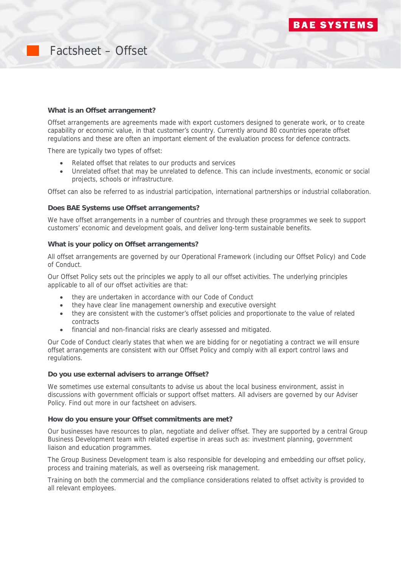

# Factsheet – Offset

### **What is an Offset arrangement?**

Offset arrangements are agreements made with export customers designed to generate work, or to create capability or economic value, in that customer's country. Currently around 80 countries operate offset regulations and these are often an important element of the evaluation process for defence contracts.

There are typically two types of offset:

- Related offset that relates to our products and services
- Unrelated offset that may be unrelated to defence. This can include investments, economic or social projects, schools or infrastructure.

Offset can also be referred to as industrial participation, international partnerships or industrial collaboration.

### **Does BAE Systems use Offset arrangements?**

We have offset arrangements in a number of countries and through these programmes we seek to support customers' economic and development goals, and deliver long-term sustainable benefits.

### **What is your policy on Offset arrangements?**

All offset arrangements are governed by our Operational Framework (including our Offset Policy) and Code of Conduct.

Our Offset Policy sets out the principles we apply to all our offset activities. The underlying principles applicable to all of our offset activities are that:

- they are undertaken in accordance with our Code of Conduct
- they have clear line management ownership and executive oversight
- they are consistent with the customer's offset policies and proportionate to the value of related contracts
- financial and non-financial risks are clearly assessed and mitigated.

Our Code of Conduct clearly states that when we are bidding for or negotiating a contract we will ensure offset arrangements are consistent with our Offset Policy and comply with all export control laws and regulations.

## **Do you use external advisers to arrange Offset?**

We sometimes use external consultants to advise us about the local business environment, assist in discussions with government officials or support offset matters. All advisers are governed by our Adviser Policy. Find out more in our factsheet on advisers.

#### **How do you ensure your Offset commitments are met?**

Our businesses have resources to plan, negotiate and deliver offset. They are supported by a central Group Business Development team with related expertise in areas such as: investment planning, government liaison and education programmes.

The Group Business Development team is also responsible for developing and embedding our offset policy, process and training materials, as well as overseeing risk management.

Training on both the commercial and the compliance considerations related to offset activity is provided to all relevant employees.